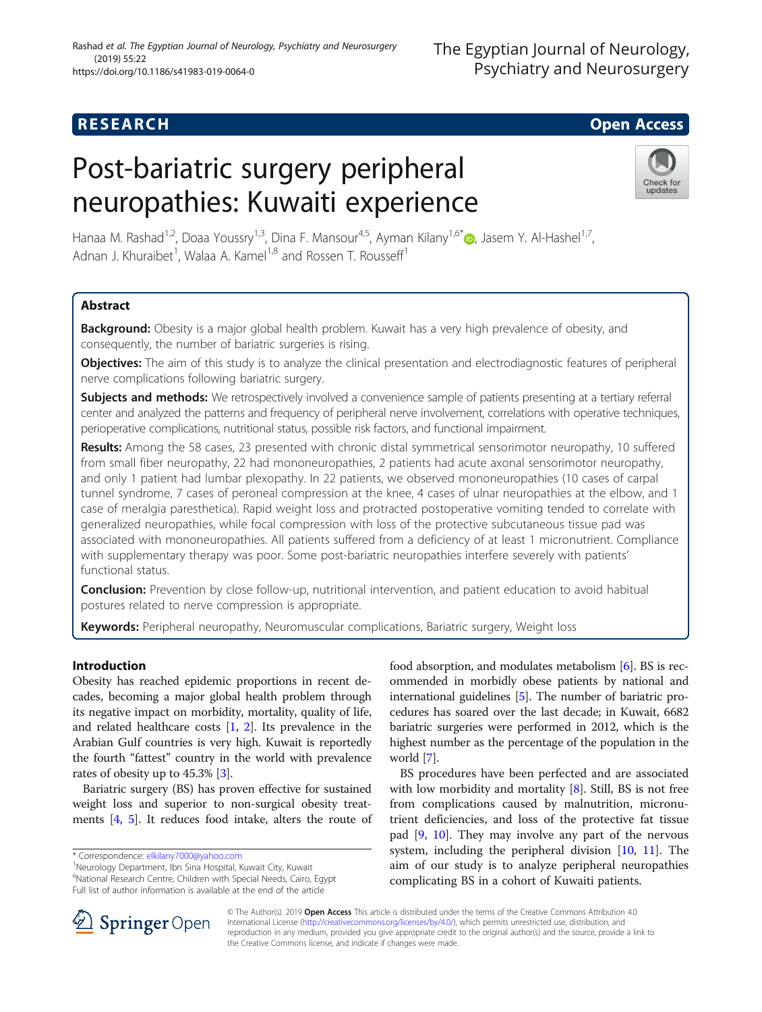## **RESEARCH CHILD CONTROL** CONTROL CONTROL CONTROL CONTROL CONTROL CONTROL CONTROL CONTROL CONTROL CONTROL CONTROL

# Post-bariatric surgery peripheral neuropathies: Kuwaiti experience



Hanaa M. Rashad<sup>1,2</sup>, Doaa Youssry<sup>1,3</sup>, Dina F. Mansour<sup>4,5</sup>, Ayman Kilany<sup>1,6\*</sup> <sub>(b</sub>, Jasem Y. Al-Hashel<sup>1,7</sup>, Adnan J. Khuraibet<sup>1</sup>, Walaa A. Kamel<sup>1,8</sup> and Rossen T. Rousseff<sup>1</sup>

### Abstract

Background: Obesity is a major global health problem. Kuwait has a very high prevalence of obesity, and consequently, the number of bariatric surgeries is rising.

Objectives: The aim of this study is to analyze the clinical presentation and electrodiagnostic features of peripheral nerve complications following bariatric surgery.

Subjects and methods: We retrospectively involved a convenience sample of patients presenting at a tertiary referral center and analyzed the patterns and frequency of peripheral nerve involvement, correlations with operative techniques, perioperative complications, nutritional status, possible risk factors, and functional impairment.

Results: Among the 58 cases, 23 presented with chronic distal symmetrical sensorimotor neuropathy, 10 suffered from small fiber neuropathy, 22 had mononeuropathies, 2 patients had acute axonal sensorimotor neuropathy, and only 1 patient had lumbar plexopathy. In 22 patients, we observed mononeuropathies (10 cases of carpal tunnel syndrome, 7 cases of peroneal compression at the knee, 4 cases of ulnar neuropathies at the elbow, and 1 case of meralgia paresthetica). Rapid weight loss and protracted postoperative vomiting tended to correlate with generalized neuropathies, while focal compression with loss of the protective subcutaneous tissue pad was associated with mononeuropathies. All patients suffered from a deficiency of at least 1 micronutrient. Compliance with supplementary therapy was poor. Some post-bariatric neuropathies interfere severely with patients' functional status.

**Conclusion:** Prevention by close follow-up, nutritional intervention, and patient education to avoid habitual postures related to nerve compression is appropriate.

Keywords: Peripheral neuropathy, Neuromuscular complications, Bariatric surgery, Weight loss

#### Introduction

Obesity has reached epidemic proportions in recent decades, becoming a major global health problem through its negative impact on morbidity, mortality, quality of life, and related healthcare costs [[1](#page-5-0), [2\]](#page-5-0). Its prevalence in the Arabian Gulf countries is very high. Kuwait is reportedly the fourth "fattest" country in the world with prevalence rates of obesity up to 45.3% [\[3\]](#page-5-0).

Bariatric surgery (BS) has proven effective for sustained weight loss and superior to non-surgical obesity treatments [[4,](#page-5-0) [5](#page-5-0)]. It reduces food intake, alters the route of



BS procedures have been perfected and are associated with low morbidity and mortality  $[8]$  $[8]$ . Still, BS is not free from complications caused by malnutrition, micronutrient deficiencies, and loss of the protective fat tissue pad [[9,](#page-5-0) [10](#page-5-0)]. They may involve any part of the nervous system, including the peripheral division [[10,](#page-5-0) [11](#page-5-0)]. The aim of our study is to analyze peripheral neuropathies complicating BS in a cohort of Kuwaiti patients.



© The Author(s). 2019 Open Access This article is distributed under the terms of the Creative Commons Attribution 4.0 International License ([http://creativecommons.org/licenses/by/4.0/\)](http://creativecommons.org/licenses/by/4.0/), which permits unrestricted use, distribution, and reproduction in any medium, provided you give appropriate credit to the original author(s) and the source, provide a link to the Creative Commons license, and indicate if changes were made.

<sup>\*</sup> Correspondence: [elkilany7000@yahoo.com](mailto:elkilany7000@yahoo.com) <sup>1</sup>

Neurology Department, Ibn Sina Hospital, Kuwait City, Kuwait

<sup>6</sup> National Research Centre, Children with Special Needs, Cairo, Egypt Full list of author information is available at the end of the article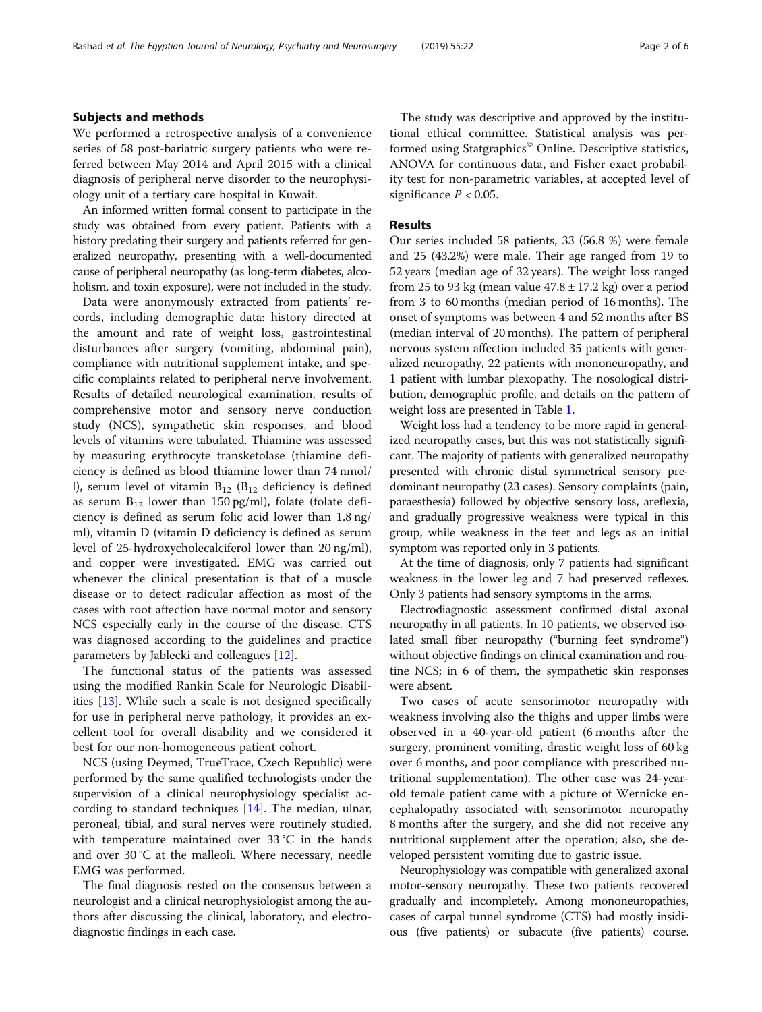#### Subjects and methods

We performed a retrospective analysis of a convenience series of 58 post-bariatric surgery patients who were referred between May 2014 and April 2015 with a clinical diagnosis of peripheral nerve disorder to the neurophysiology unit of a tertiary care hospital in Kuwait.

An informed written formal consent to participate in the study was obtained from every patient. Patients with a history predating their surgery and patients referred for generalized neuropathy, presenting with a well-documented cause of peripheral neuropathy (as long-term diabetes, alcoholism, and toxin exposure), were not included in the study.

Data were anonymously extracted from patients' records, including demographic data: history directed at the amount and rate of weight loss, gastrointestinal disturbances after surgery (vomiting, abdominal pain), compliance with nutritional supplement intake, and specific complaints related to peripheral nerve involvement. Results of detailed neurological examination, results of comprehensive motor and sensory nerve conduction study (NCS), sympathetic skin responses, and blood levels of vitamins were tabulated. Thiamine was assessed by measuring erythrocyte transketolase (thiamine deficiency is defined as blood thiamine lower than 74 nmol/ l), serum level of vitamin  $B_{12}$  ( $B_{12}$  deficiency is defined as serum  $B_{12}$  lower than 150 pg/ml), folate (folate deficiency is defined as serum folic acid lower than 1.8 ng/ ml), vitamin D (vitamin D deficiency is defined as serum level of 25-hydroxycholecalciferol lower than 20 ng/ml), and copper were investigated. EMG was carried out whenever the clinical presentation is that of a muscle disease or to detect radicular affection as most of the cases with root affection have normal motor and sensory NCS especially early in the course of the disease. CTS was diagnosed according to the guidelines and practice parameters by Jablecki and colleagues [\[12](#page-5-0)].

The functional status of the patients was assessed using the modified Rankin Scale for Neurologic Disabilities [[13\]](#page-5-0). While such a scale is not designed specifically for use in peripheral nerve pathology, it provides an excellent tool for overall disability and we considered it best for our non-homogeneous patient cohort.

NCS (using Deymed, TrueTrace, Czech Republic) were performed by the same qualified technologists under the supervision of a clinical neurophysiology specialist according to standard techniques [\[14](#page-5-0)]. The median, ulnar, peroneal, tibial, and sural nerves were routinely studied, with temperature maintained over 33 °C in the hands and over 30 °C at the malleoli. Where necessary, needle EMG was performed.

The final diagnosis rested on the consensus between a neurologist and a clinical neurophysiologist among the authors after discussing the clinical, laboratory, and electrodiagnostic findings in each case.

The study was descriptive and approved by the institutional ethical committee. Statistical analysis was performed using Statgraphics<sup>®</sup> Online. Descriptive statistics, ANOVA for continuous data, and Fisher exact probability test for non-parametric variables, at accepted level of significance  $P < 0.05$ .

#### Results

Our series included 58 patients, 33 (56.8 %) were female and 25 (43.2%) were male. Their age ranged from 19 to 52 years (median age of 32 years). The weight loss ranged from 25 to 93 kg (mean value  $47.8 \pm 17.2$  kg) over a period from 3 to 60 months (median period of 16 months). The onset of symptoms was between 4 and 52 months after BS (median interval of 20 months). The pattern of peripheral nervous system affection included 35 patients with generalized neuropathy, 22 patients with mononeuropathy, and 1 patient with lumbar plexopathy. The nosological distribution, demographic profile, and details on the pattern of weight loss are presented in Table [1](#page-2-0).

Weight loss had a tendency to be more rapid in generalized neuropathy cases, but this was not statistically significant. The majority of patients with generalized neuropathy presented with chronic distal symmetrical sensory predominant neuropathy (23 cases). Sensory complaints (pain, paraesthesia) followed by objective sensory loss, areflexia, and gradually progressive weakness were typical in this group, while weakness in the feet and legs as an initial symptom was reported only in 3 patients.

At the time of diagnosis, only 7 patients had significant weakness in the lower leg and 7 had preserved reflexes. Only 3 patients had sensory symptoms in the arms.

Electrodiagnostic assessment confirmed distal axonal neuropathy in all patients. In 10 patients, we observed isolated small fiber neuropathy ("burning feet syndrome") without objective findings on clinical examination and routine NCS; in 6 of them, the sympathetic skin responses were absent.

Two cases of acute sensorimotor neuropathy with weakness involving also the thighs and upper limbs were observed in a 40-year-old patient (6 months after the surgery, prominent vomiting, drastic weight loss of 60 kg over 6 months, and poor compliance with prescribed nutritional supplementation). The other case was 24-yearold female patient came with a picture of Wernicke encephalopathy associated with sensorimotor neuropathy 8 months after the surgery, and she did not receive any nutritional supplement after the operation; also, she developed persistent vomiting due to gastric issue.

Neurophysiology was compatible with generalized axonal motor-sensory neuropathy. These two patients recovered gradually and incompletely. Among mononeuropathies, cases of carpal tunnel syndrome (CTS) had mostly insidious (five patients) or subacute (five patients) course.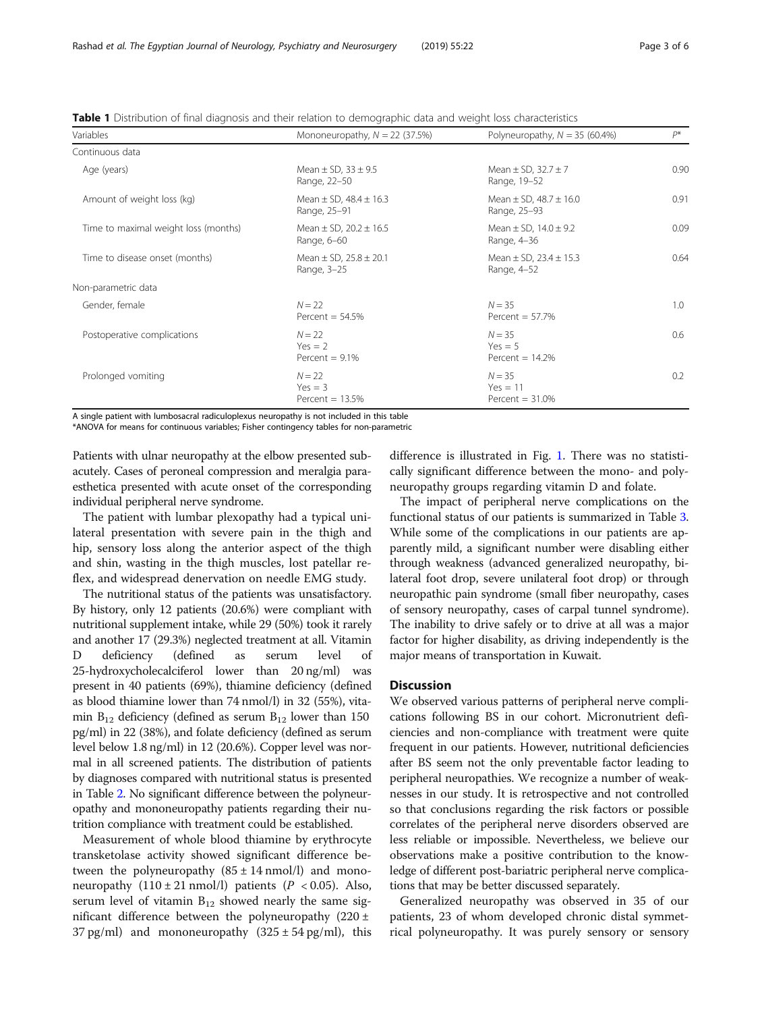<span id="page-2-0"></span>

|  | Table 1 Distribution of final diagnosis and their relation to demographic data and weight loss characteristics |
|--|----------------------------------------------------------------------------------------------------------------|
|  |                                                                                                                |

| Variables                            | Mononeuropathy, $N = 22$ (37.5%)               | Polyneuropathy, $N = 35$ (60.4%)               | $P^*$ |  |
|--------------------------------------|------------------------------------------------|------------------------------------------------|-------|--|
| Continuous data                      |                                                |                                                |       |  |
| Age (years)                          | Mean $\pm$ SD, 33 $\pm$ 9.5<br>Range, 22-50    | Mean $\pm$ SD, 32.7 $\pm$ 7<br>Range, 19-52    | 0.90  |  |
| Amount of weight loss (kg)           | Mean $\pm$ SD, 48.4 $\pm$ 16.3<br>Range, 25-91 | Mean $\pm$ SD, 48.7 $\pm$ 16.0<br>Range, 25-93 | 0.91  |  |
| Time to maximal weight loss (months) | Mean $\pm$ SD, 20.2 $\pm$ 16.5<br>Range, 6-60  | Mean $\pm$ SD, 14.0 $\pm$ 9.2<br>Range, 4-36   | 0.09  |  |
| Time to disease onset (months)       | Mean $\pm$ SD, 25.8 $\pm$ 20.1<br>Range, 3-25  | Mean $\pm$ SD, 23.4 $\pm$ 15.3<br>Range, 4-52  | 0.64  |  |
| Non-parametric data                  |                                                |                                                |       |  |
| Gender, female                       | $N = 22$<br>Percent = $54.5%$                  | $N = 35$<br>Percent = $57.7\%$                 | 1.0   |  |
| Postoperative complications          | $N = 22$<br>$Yes = 2$<br>Percent = $9.1\%$     | $N = 35$<br>$Yes = 5$<br>Percent $= 14.2%$     | 0.6   |  |
| Prolonged vomiting                   | $N = 22$<br>$Yes = 3$<br>Percent = $13.5%$     | $N = 35$<br>$Yes = 11$<br>Percent $=$ 31.0%    | 0.2   |  |

A single patient with lumbosacral radiculoplexus neuropathy is not included in this table

\*ANOVA for means for continuous variables; Fisher contingency tables for non-parametric

Patients with ulnar neuropathy at the elbow presented subacutely. Cases of peroneal compression and meralgia paraesthetica presented with acute onset of the corresponding individual peripheral nerve syndrome.

The patient with lumbar plexopathy had a typical unilateral presentation with severe pain in the thigh and hip, sensory loss along the anterior aspect of the thigh and shin, wasting in the thigh muscles, lost patellar reflex, and widespread denervation on needle EMG study.

The nutritional status of the patients was unsatisfactory. By history, only 12 patients (20.6%) were compliant with nutritional supplement intake, while 29 (50%) took it rarely and another 17 (29.3%) neglected treatment at all. Vitamin D deficiency (defined as serum level of 25-hydroxycholecalciferol lower than 20 ng/ml) was present in 40 patients (69%), thiamine deficiency (defined as blood thiamine lower than 74 nmol/l) in 32 (55%), vitamin  $B_{12}$  deficiency (defined as serum  $B_{12}$  lower than 150 pg/ml) in 22 (38%), and folate deficiency (defined as serum level below 1.8 ng/ml) in 12 (20.6%). Copper level was normal in all screened patients. The distribution of patients by diagnoses compared with nutritional status is presented in Table [2](#page-3-0). No significant difference between the polyneuropathy and mononeuropathy patients regarding their nutrition compliance with treatment could be established.

Measurement of whole blood thiamine by erythrocyte transketolase activity showed significant difference between the polyneuropathy  $(85 \pm 14 \text{ nmol/l})$  and mononeuropathy  $(110 \pm 21 \text{ nmol/l})$  patients  $(P < 0.05)$ . Also, serum level of vitamin  $B_{12}$  showed nearly the same significant difference between the polyneuropathy  $(220 \pm$ 37 pg/ml) and mononeuropathy  $(325 \pm 54 \text{ pg/ml})$ , this

difference is illustrated in Fig. [1.](#page-3-0) There was no statistically significant difference between the mono- and polyneuropathy groups regarding vitamin D and folate.

The impact of peripheral nerve complications on the functional status of our patients is summarized in Table [3](#page-4-0). While some of the complications in our patients are apparently mild, a significant number were disabling either through weakness (advanced generalized neuropathy, bilateral foot drop, severe unilateral foot drop) or through neuropathic pain syndrome (small fiber neuropathy, cases of sensory neuropathy, cases of carpal tunnel syndrome). The inability to drive safely or to drive at all was a major factor for higher disability, as driving independently is the major means of transportation in Kuwait.

#### **Discussion**

We observed various patterns of peripheral nerve complications following BS in our cohort. Micronutrient deficiencies and non-compliance with treatment were quite frequent in our patients. However, nutritional deficiencies after BS seem not the only preventable factor leading to peripheral neuropathies. We recognize a number of weaknesses in our study. It is retrospective and not controlled so that conclusions regarding the risk factors or possible correlates of the peripheral nerve disorders observed are less reliable or impossible. Nevertheless, we believe our observations make a positive contribution to the knowledge of different post-bariatric peripheral nerve complications that may be better discussed separately.

Generalized neuropathy was observed in 35 of our patients, 23 of whom developed chronic distal symmetrical polyneuropathy. It was purely sensory or sensory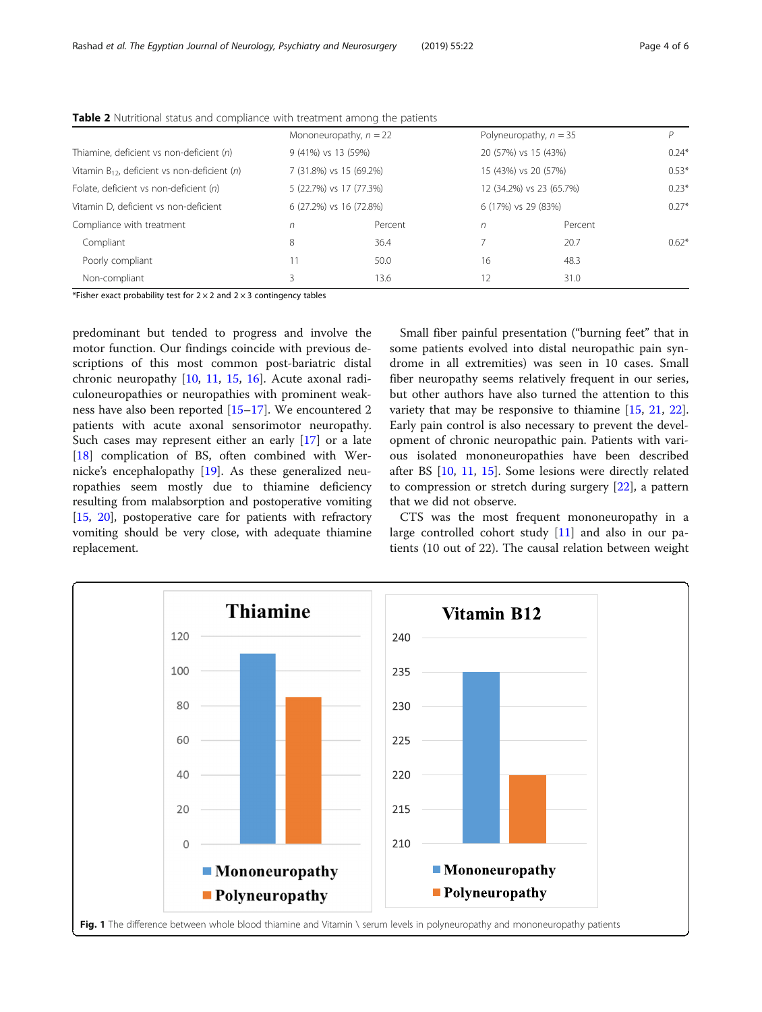|                                                   | Mononeuropathy, $n = 22$ |         | Polyneuropathy, $n = 35$ |         | D       |
|---------------------------------------------------|--------------------------|---------|--------------------------|---------|---------|
| Thiamine, deficient vs non-deficient (n)          | 9 (41%) vs 13 (59%)      |         | 20 (57%) vs 15 (43%)     |         | $0.24*$ |
| Vitamin $B_{12}$ , deficient vs non-deficient (n) | 7 (31.8%) vs 15 (69.2%)  |         | 15 (43%) vs 20 (57%)     |         | $0.53*$ |
| Folate, deficient vs non-deficient (n)            | 5 (22.7%) vs 17 (77.3%)  |         | 12 (34.2%) vs 23 (65.7%) |         | $0.23*$ |
| Vitamin D, deficient vs non-deficient             | 6 (27.2%) vs 16 (72.8%)  |         | 6 (17%) vs 29 (83%)      |         | $0.27*$ |
| Compliance with treatment                         | n                        | Percent | n                        | Percent |         |
| Compliant                                         | 8                        | 36.4    |                          | 20.7    | $0.62*$ |
| Poorly compliant                                  |                          | 50.0    | 16                       | 48.3    |         |
| Non-compliant                                     | 3                        | 13.6    | 12                       | 31.0    |         |
|                                                   |                          |         |                          |         |         |

<span id="page-3-0"></span>Table 2 Nutritional status and compliance with treatment among the patients

\*Fisher exact probability test for  $2 \times 2$  and  $2 \times 3$  contingency tables

predominant but tended to progress and involve the motor function. Our findings coincide with previous descriptions of this most common post-bariatric distal chronic neuropathy [\[10,](#page-5-0) [11,](#page-5-0) [15,](#page-5-0) [16\]](#page-5-0). Acute axonal radiculoneuropathies or neuropathies with prominent weakness have also been reported [[15](#page-5-0)–[17](#page-5-0)]. We encountered 2 patients with acute axonal sensorimotor neuropathy. Such cases may represent either an early [\[17](#page-5-0)] or a late [[18\]](#page-5-0) complication of BS, often combined with Wernicke's encephalopathy [[19\]](#page-5-0). As these generalized neuropathies seem mostly due to thiamine deficiency resulting from malabsorption and postoperative vomiting [[15](#page-5-0), [20](#page-5-0)], postoperative care for patients with refractory vomiting should be very close, with adequate thiamine replacement.

Small fiber painful presentation ("burning feet" that in some patients evolved into distal neuropathic pain syndrome in all extremities) was seen in 10 cases. Small fiber neuropathy seems relatively frequent in our series, but other authors have also turned the attention to this variety that may be responsive to thiamine [[15,](#page-5-0) [21](#page-5-0), [22](#page-5-0)]. Early pain control is also necessary to prevent the development of chronic neuropathic pain. Patients with various isolated mononeuropathies have been described after BS [[10,](#page-5-0) [11](#page-5-0), [15](#page-5-0)]. Some lesions were directly related to compression or stretch during surgery [[22](#page-5-0)], a pattern that we did not observe.

CTS was the most frequent mononeuropathy in a large controlled cohort study [\[11](#page-5-0)] and also in our patients (10 out of 22). The causal relation between weight

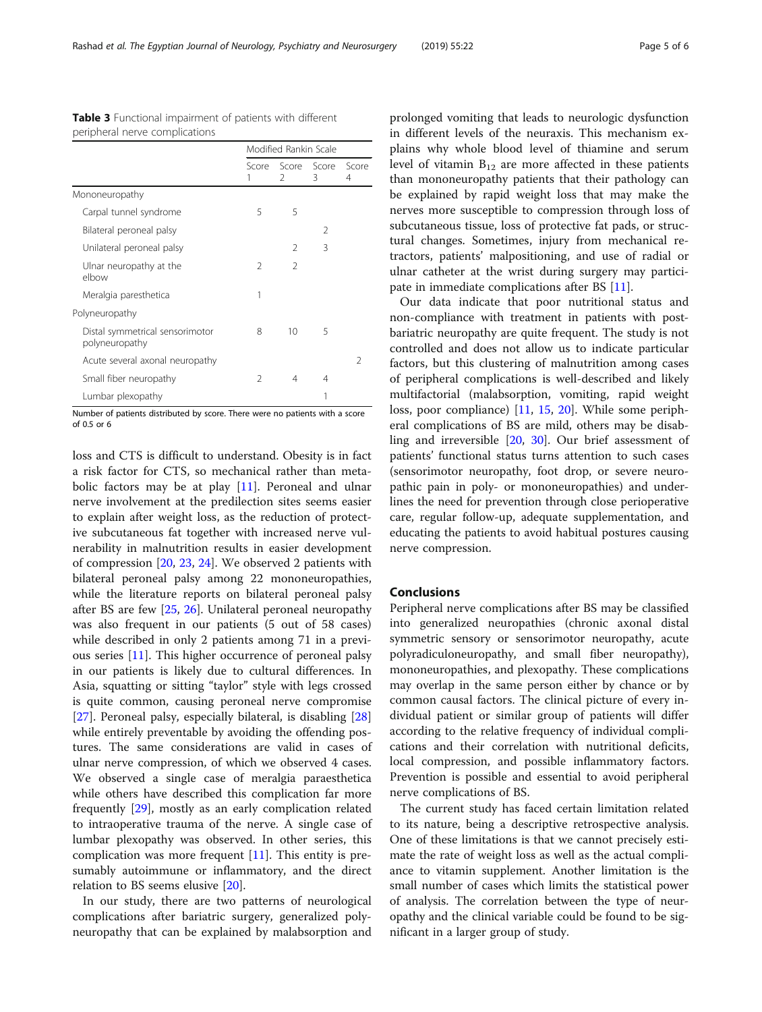<span id="page-4-0"></span>Rashad et al. The Egyptian Journal of Neurology, Psychiatry and Neurosurgery (2019) 55:22 Page 5 of 6

|                                                   | Modified Rankin Scale |                                    |                |            |
|---------------------------------------------------|-----------------------|------------------------------------|----------------|------------|
|                                                   | 1                     | Score Score Score<br>$\mathcal{L}$ | 3              | Score<br>4 |
| Mononeuropathy                                    |                       |                                    |                |            |
| Carpal tunnel syndrome                            | 5                     | 5                                  |                |            |
| Bilateral peroneal palsy                          |                       |                                    | $\mathfrak{D}$ |            |
| Unilateral peroneal palsy                         |                       | 2                                  | 3              |            |
| Ulnar neuropathy at the<br>elbow                  | 2                     | $\mathcal{P}$                      |                |            |
| Meralgia paresthetica                             | 1                     |                                    |                |            |
| Polyneuropathy                                    |                       |                                    |                |            |
| Distal symmetrical sensorimotor<br>polyneuropathy | 8                     | 10                                 | 5              |            |
| Acute several axonal neuropathy                   |                       |                                    |                | 2          |
| Small fiber neuropathy                            | 2                     | 4                                  | 4              |            |
| Lumbar plexopathy                                 |                       |                                    | 1              |            |

Table 3 Functional impairment of patients with different peripheral nerve complications

Number of patients distributed by score. There were no patients with a score of 0.5 or 6

loss and CTS is difficult to understand. Obesity is in fact a risk factor for CTS, so mechanical rather than metabolic factors may be at play [\[11](#page-5-0)]. Peroneal and ulnar nerve involvement at the predilection sites seems easier to explain after weight loss, as the reduction of protective subcutaneous fat together with increased nerve vulnerability in malnutrition results in easier development of compression [\[20](#page-5-0), [23](#page-5-0), [24\]](#page-5-0). We observed 2 patients with bilateral peroneal palsy among 22 mononeuropathies, while the literature reports on bilateral peroneal palsy after BS are few [[25,](#page-5-0) [26\]](#page-5-0). Unilateral peroneal neuropathy was also frequent in our patients (5 out of 58 cases) while described in only 2 patients among 71 in a previous series [\[11\]](#page-5-0). This higher occurrence of peroneal palsy in our patients is likely due to cultural differences. In Asia, squatting or sitting "taylor" style with legs crossed is quite common, causing peroneal nerve compromise [[27\]](#page-5-0). Peroneal palsy, especially bilateral, is disabling [[28](#page-5-0)] while entirely preventable by avoiding the offending postures. The same considerations are valid in cases of ulnar nerve compression, of which we observed 4 cases. We observed a single case of meralgia paraesthetica while others have described this complication far more frequently [\[29](#page-5-0)], mostly as an early complication related to intraoperative trauma of the nerve. A single case of lumbar plexopathy was observed. In other series, this complication was more frequent [\[11](#page-5-0)]. This entity is presumably autoimmune or inflammatory, and the direct relation to BS seems elusive [\[20\]](#page-5-0).

In our study, there are two patterns of neurological complications after bariatric surgery, generalized polyneuropathy that can be explained by malabsorption and prolonged vomiting that leads to neurologic dysfunction in different levels of the neuraxis. This mechanism explains why whole blood level of thiamine and serum level of vitamin  $B_{12}$  are more affected in these patients than mononeuropathy patients that their pathology can be explained by rapid weight loss that may make the nerves more susceptible to compression through loss of subcutaneous tissue, loss of protective fat pads, or structural changes. Sometimes, injury from mechanical retractors, patients' malpositioning, and use of radial or ulnar catheter at the wrist during surgery may participate in immediate complications after BS [\[11\]](#page-5-0).

Our data indicate that poor nutritional status and non-compliance with treatment in patients with postbariatric neuropathy are quite frequent. The study is not controlled and does not allow us to indicate particular factors, but this clustering of malnutrition among cases of peripheral complications is well-described and likely multifactorial (malabsorption, vomiting, rapid weight loss, poor compliance) [\[11](#page-5-0), [15,](#page-5-0) [20](#page-5-0)]. While some peripheral complications of BS are mild, others may be disabling and irreversible [\[20](#page-5-0), [30](#page-5-0)]. Our brief assessment of patients' functional status turns attention to such cases (sensorimotor neuropathy, foot drop, or severe neuropathic pain in poly- or mononeuropathies) and underlines the need for prevention through close perioperative care, regular follow-up, adequate supplementation, and educating the patients to avoid habitual postures causing nerve compression.

#### Conclusions

Peripheral nerve complications after BS may be classified into generalized neuropathies (chronic axonal distal symmetric sensory or sensorimotor neuropathy, acute polyradiculoneuropathy, and small fiber neuropathy), mononeuropathies, and plexopathy. These complications may overlap in the same person either by chance or by common causal factors. The clinical picture of every individual patient or similar group of patients will differ according to the relative frequency of individual complications and their correlation with nutritional deficits, local compression, and possible inflammatory factors. Prevention is possible and essential to avoid peripheral nerve complications of BS.

The current study has faced certain limitation related to its nature, being a descriptive retrospective analysis. One of these limitations is that we cannot precisely estimate the rate of weight loss as well as the actual compliance to vitamin supplement. Another limitation is the small number of cases which limits the statistical power of analysis. The correlation between the type of neuropathy and the clinical variable could be found to be significant in a larger group of study.